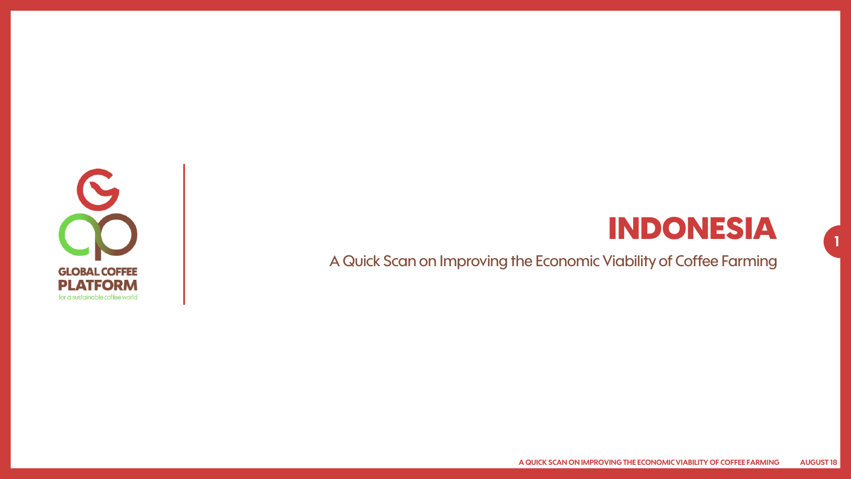

### **INDONESIA**

**1**

A Quick Scan on Improving the Economic Viability of Coffee Farming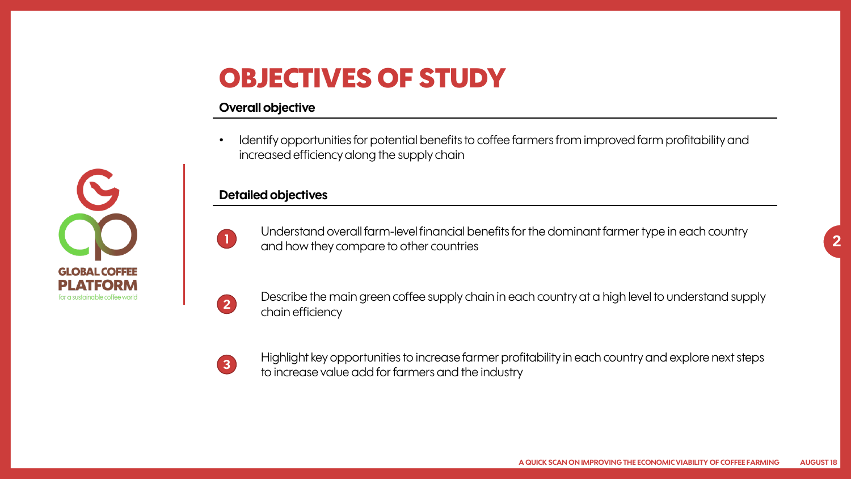### **OBJECTIVES OF STUDY**

#### **Overall objective**

• Identify opportunities for potential benefits to coffee farmers from improved farm profitability and increased efficiency along the supply chain

#### **Detailed objectives**





**GLOBAL COFFEE** PI ATFORM for a sustainable coffee world

Describe the main green coffee supply chain in each country at a high level to understand supply chain efficiency

**3**

Highlight key opportunities to increase farmer profitability in each country and explore next steps to increase value add for farmers and the industry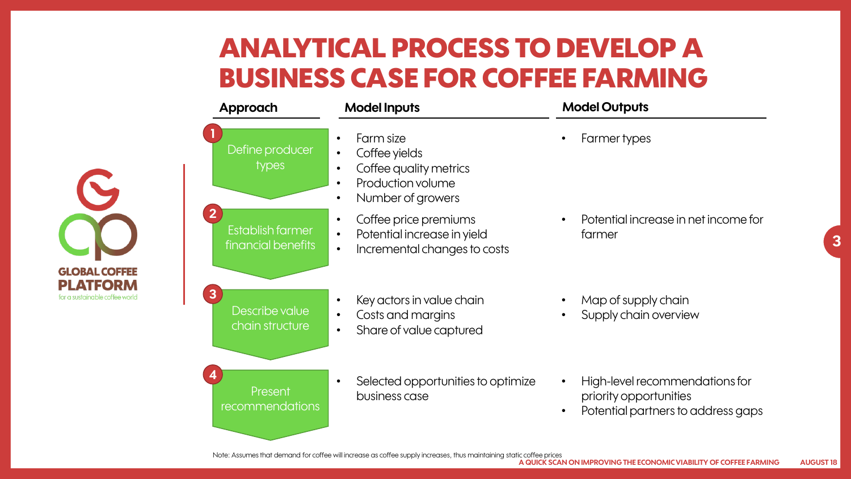## **ANALYTICAL PROCESS TO DEVELOP A BUSINESS CASE FOR COFFEE FARMING**

| <b>Approach</b>                                                   | <b>Model Inputs</b>                                                                                                                                             | <b>Model Outputs</b>                                                                                        |
|-------------------------------------------------------------------|-----------------------------------------------------------------------------------------------------------------------------------------------------------------|-------------------------------------------------------------------------------------------------------------|
| Define producer<br>types                                          | Farm size<br>$\bullet$<br>Coffee yields<br>$\bullet$<br>Coffee quality metrics<br>$\bullet$<br>Production volume<br>$\bullet$<br>Number of growers<br>$\bullet$ | Farmer types                                                                                                |
| $\overline{\mathbf{2}}$<br>Establish farmer<br>financial benefits | Coffee price premiums<br>$\bullet$<br>Potential increase in yield<br>$\bullet$<br>Incremental changes to costs<br>$\bullet$                                     | Potential increase in net income for<br>farmer                                                              |
| 3<br>Describe value<br>chain structure                            | Key actors in value chain<br>$\bullet$<br>Costs and margins<br>$\bullet$<br>Share of value captured<br>$\bullet$                                                | Map of supply chain<br>Supply chain overview                                                                |
| 4<br>Present<br>recommendations                                   | Selected opportunities to optimize<br>$\bullet$<br>business case                                                                                                | High-level recommendations for<br>$\bullet$<br>priority opportunities<br>Potential partners to address gaps |

**3**

 $\mathbf{C}$ 

**GLOBAL COFFEE PLATFORM** for a sustainable coffee world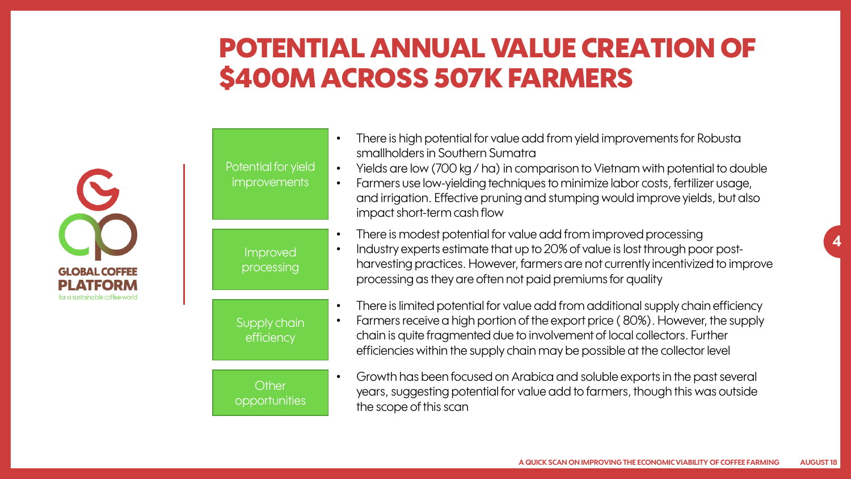### **POTENTIAL ANNUAL VALUE CREATION OF \$400M ACROSS 507K FARMERS**

|                                                                          | Potential for yield<br>improvements | There is high potential for value add from yield improvements for Robusta<br>smallholders in Southern Sumatra<br>Yields are low (700 kg / ha) in comparison to Vietnam with potential to double<br>Farmers use low-yielding techniques to minimize labor costs, fertilizer usage,<br>and irrigation. Effective pruning and stumping would improve yields, but also<br>impact short-term cash flow |
|--------------------------------------------------------------------------|-------------------------------------|---------------------------------------------------------------------------------------------------------------------------------------------------------------------------------------------------------------------------------------------------------------------------------------------------------------------------------------------------------------------------------------------------|
| <b>GLOBAL COFFEE</b><br><b>PLATFORM</b><br>or a sustainable coffee world | Improved<br>processing              | There is modest potential for value add from improved processing<br>Industry experts estimate that up to 20% of value is lost through poor post-<br>harvesting practices. However, farmers are not currently incentivized to improve<br>processing as they are often not paid premiums for quality                                                                                                |
|                                                                          | Supply chain<br>efficiency          | There is limited potential for value add from additional supply chain efficiency<br>Farmers receive a high portion of the export price (80%). However, the supply<br>chain is quite fragmented due to involvement of local collectors. Further<br>efficiencies within the supply chain may be possible at the collector level                                                                     |
|                                                                          | Other<br>opportunities              | Growth has been focused on Arabica and soluble exports in the past several<br>years, suggesting potential for value add to farmers, though this was outside<br>the scope of this scan                                                                                                                                                                                                             |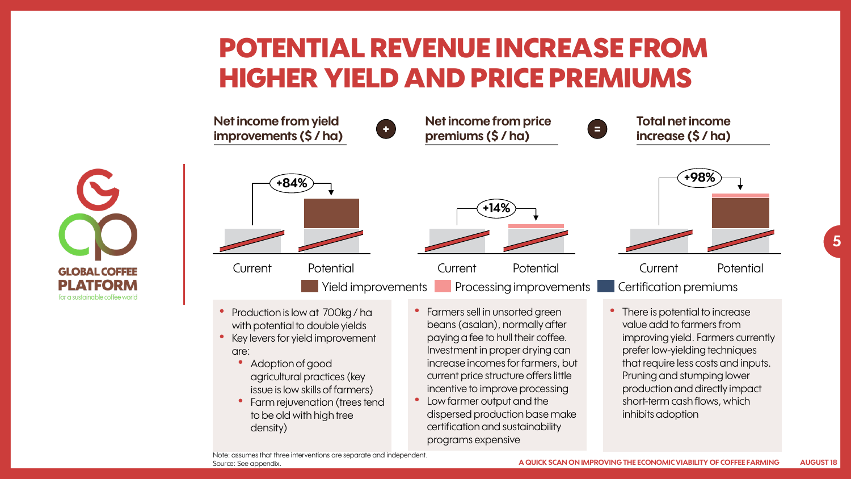### **POTENTIAL REVENUE INCREASE FROM HIGHER YIELD AND PRICE PREMIUMS**



**GLOBAL COFFEE PLATFORM** for a sustainable coffee world

- Production is low at 700kg / ha with potential to double yields
- Key levers for yield improvement are:
	- Adoption of good agricultural practices (key issue is low skills of farmers)
	- Farm rejuvenation (trees tend to be old with high tree density)
- Farmers sell in unsorted green beans (asalan), normally after paying a fee to hull their coffee. Investment in proper drying can increase incomes for farmers, but current price structure offers little incentive to improve processing
- Low farmer output and the dispersed production base make certification and sustainability programs expensive



**5**

There is potential to increase value add to farmers from improving yield. Farmers currently prefer low-yielding techniques that require less costs and inputs. Pruning and stumping lower production and directly impact short-term cash flows, which inhibits adoption

Note: assumes that three interventions are separate and independent. Source: See appendix.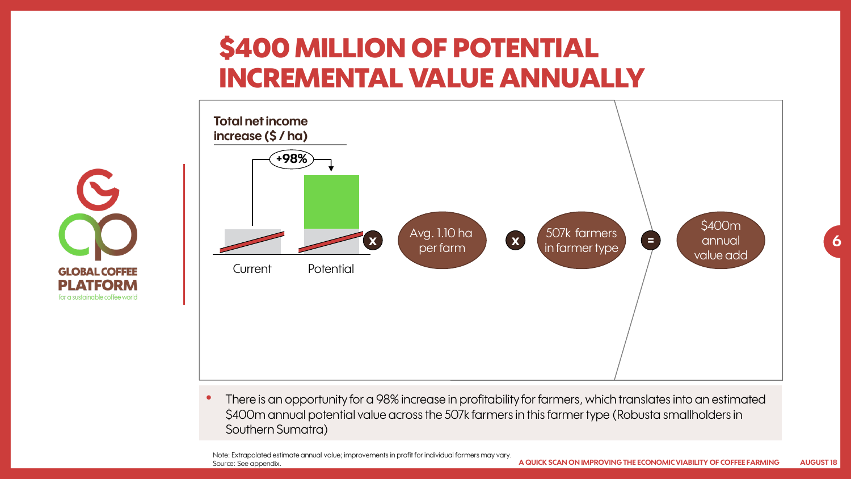## **\$400 MILLION OF POTENTIAL INCREMENTAL VALUE ANNUALLY**



• There is an opportunity for a 98% increase in profitability for farmers, which translates into an estimated \$400m annual potential value across the 507k farmers in this farmer type (Robusta smallholders in Southern Sumatra)

Note: Extrapolated estimate annual value; improvements in profit for individual farmers may vary. Source: See appendix.

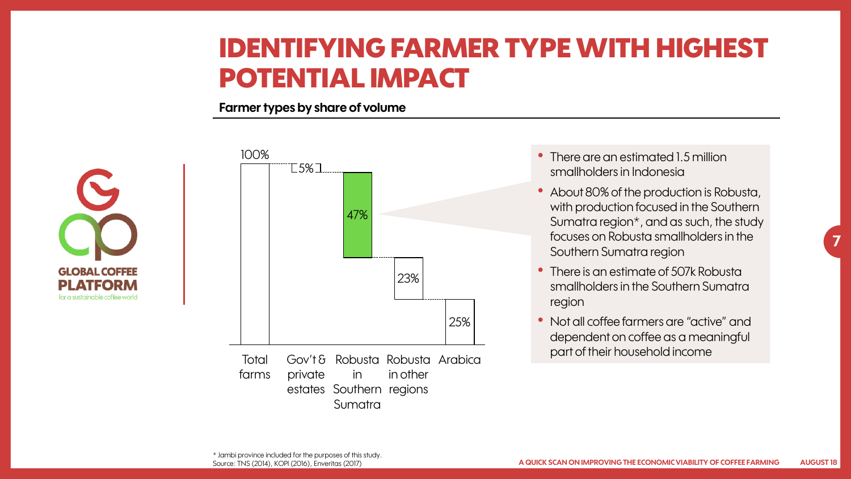#### **IDENTIFYING FARMER TYPE WITH HIGHEST POTENTIAL IMPACT**

#### **Farmer types by share of volume**





Gov't & Robusta Robusta Arabica in other estates Southern regions private **Total** farms in Sumatra

- There are an estimated 1.5 million smallholders in Indonesia
- About 80% of the production is Robusta, with production focused in the Southern Sumatra region\*, and as such, the study focuses on Robusta smallholders in the Southern Sumatra region

- There is an estimate of 507k Robusta smallholders in the Southern Sumatra region
- Not all coffee farmers are "active" and dependent on coffee as a meaningful part of their household income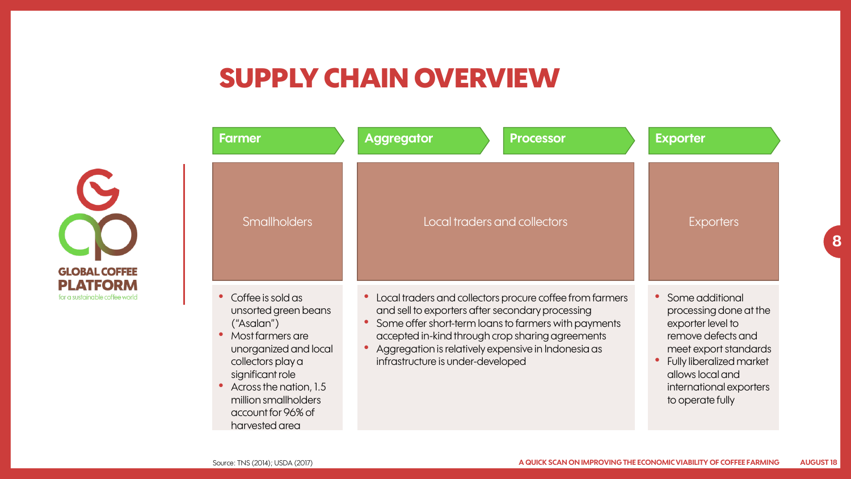#### **SUPPLY CHAIN OVERVIEW**

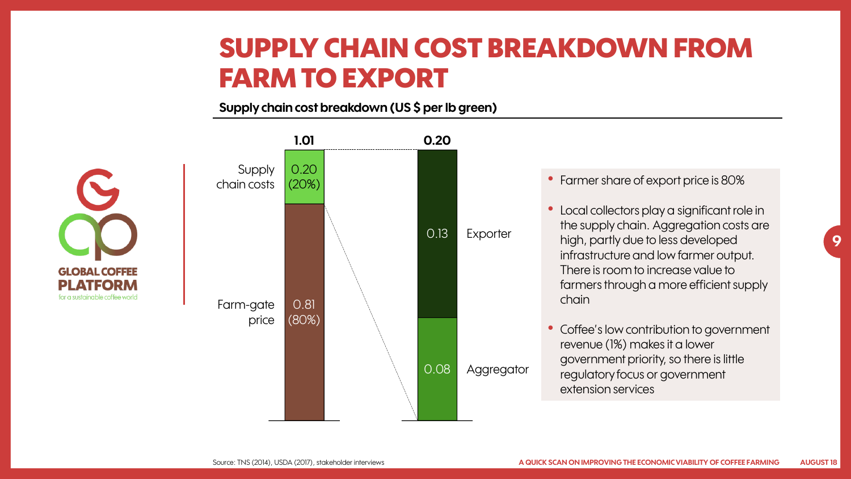#### **SUPPLY CHAIN COST BREAKDOWN FROM FARM TO EXPORT**

**Supply chain cost breakdown (US \$ per lb green)**

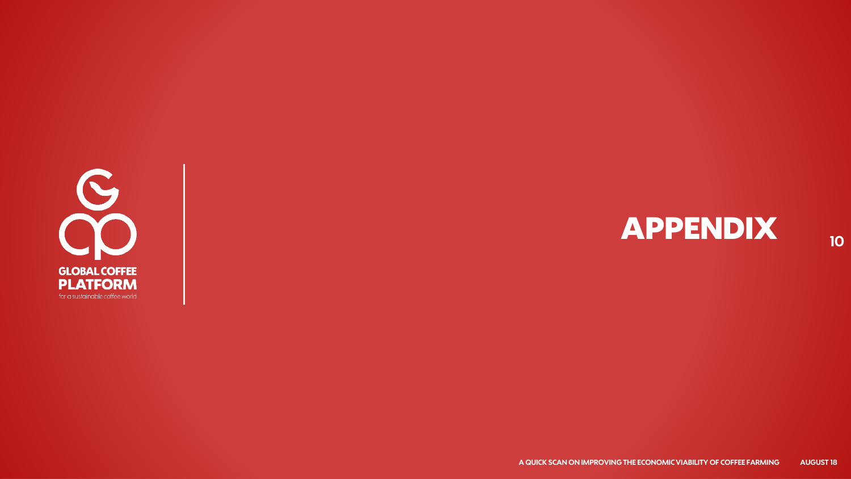

# $APPENDIX$  **10**

**A QUICK SCAN ON IMPROVING THE ECONOMIC VIABILITY OF COFFEE FARMING AUGUST 18**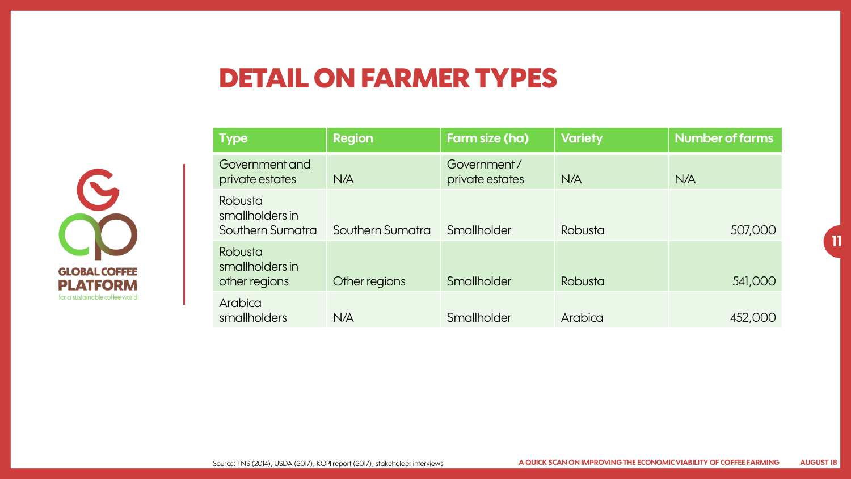#### **DETAIL ON FARMER TYPES**



| <b>Type</b>                                    | <b>Region</b>    | <b>Farm size (ha)</b>          | <b>Variety</b> | <b>Number of farms</b> |
|------------------------------------------------|------------------|--------------------------------|----------------|------------------------|
| Government and<br>private estates              | N/A              | Government/<br>private estates | N/A            | N/A                    |
| Robusta<br>smallholders in<br>Southern Sumatra | Southern Sumatra | Smallholder                    | Robusta        | 507,000                |
| Robusta<br>smallholders in<br>other regions    | Other regions    | Smallholder                    | Robusta        | 541,000                |
| Arabica<br>smallholders                        | N/A              | Smallholder                    | Arabica        | 452,000                |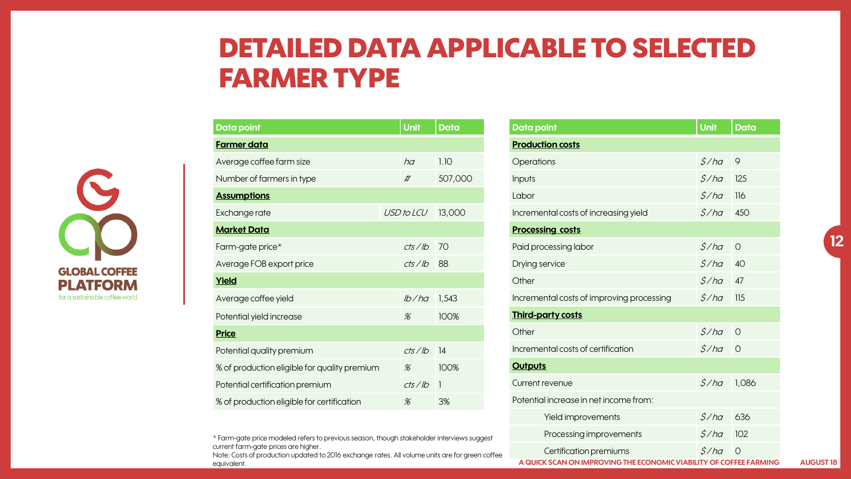# $\mathbf{C}$ **GLOBAL COFFEE PLATFORM** for a sustainable coffee world

| Data <u>point</u>                            |  | <b>Unit</b> | <b>Data</b>  |
|----------------------------------------------|--|-------------|--------------|
| <b>Farmer data</b>                           |  |             |              |
| Average coffee farm size                     |  | ha          | 1.10         |
| Number of farmers in type                    |  | #           | 507,000      |
| <b>Assumptions</b>                           |  |             |              |
| Exchange rate                                |  | USD to LCU  | 13,000       |
| <b>Market Data</b>                           |  |             |              |
| Farm-gate price*                             |  | cts/lb      | 70           |
| Average FOB export price                     |  | cts/lb      | 88           |
| Yield                                        |  |             |              |
| Average coffee yield                         |  | lb/ha       | 1,543        |
| Potential yield increase                     |  | %           | 100%         |
| <b>Price</b>                                 |  |             |              |
| Potential quality premium                    |  | cts/lb      | 14           |
| % of production eligible for quality premium |  | %           | 100%         |
| Potential certification premium              |  | cts/lb      | $\mathbf{1}$ |
| % of production eligible for certification   |  | $\%$        | 3%           |
|                                              |  |             |              |

**FARMER TYPE**

**DETAILED DATA APPLICABLE TO SELECTED** 

\* Farm-gate price modeled refers to previous season, though stakeholder interviews suggest current farm-gate prices are higher.

Note: Costs of production updated to 2016 exchange rates. All volume units are for green coffee equivalent.

#### **Data point Unit Data Production costs** Operations  $$/ha$  9 Inputs the contract of the contract of  $\mathcal{S}/h\alpha$  in 125  $\mathcal{S}/h\alpha$  in 125  $\alpha$ Labor \$ / ha 116 Incremental costs of increasing yield  $\frac{\zeta}{h}$  450 **Processing costs** Paid processing labor  $\mathcal{S}/h\alpha = 0$ Drying service  $5/ha = 40$ Other  $5/ha = 47$ Incremental costs of improving processing  $\frac{\zeta}{na}$  115 **Third-party costs** Other  $5/ha = 0$ Incremental costs of certification  $\frac{S}{h}$  0 **Outputs**

Current revenue  $$/ha$  1,086

Potential increase in net income from:

**A QUICK SCAN ON IMPROVING THE ECONOMIC VIABILITY OF COFFEE FARMING AUGUST 18** Certification premiums  $\frac{\zeta}{h}$  0

Yield improvements  $\frac{\zeta}{h}$  636 Processing improvements  $\frac{\zeta}{h}$  102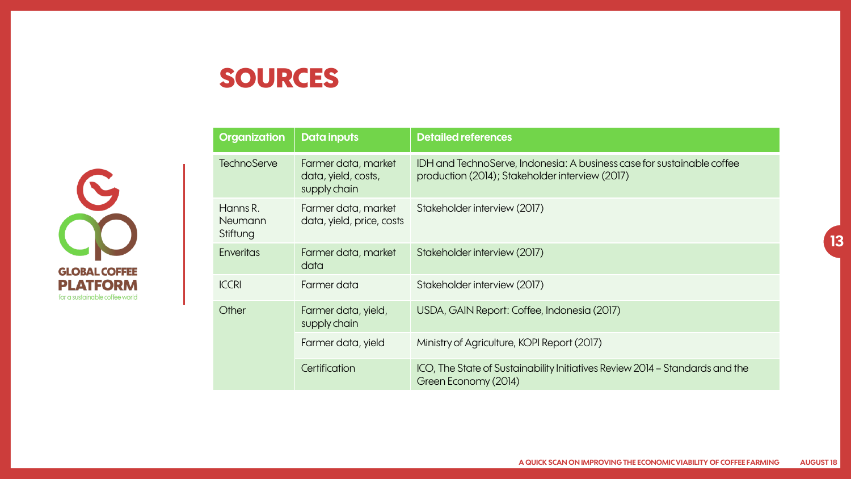### **SOURCES**



| <b>Organization</b>             | <b>Data inputs</b>                                         | <b>Detailed references</b>                                                                                                |
|---------------------------------|------------------------------------------------------------|---------------------------------------------------------------------------------------------------------------------------|
| <b>TechnoServe</b>              | Farmer data, market<br>data, yield, costs,<br>supply chain | IDH and TechnoServe, Indonesia: A business case for sustainable coffee<br>production (2014); Stakeholder interview (2017) |
| Hanns R.<br>Neumann<br>Stiftung | Farmer data, market<br>data, yield, price, costs           | Stakeholder interview (2017)                                                                                              |
| <b>Enveritas</b>                | Farmer data, market<br>data                                | Stakeholder interview (2017)                                                                                              |
| <b>ICCRI</b>                    | Farmer data                                                | Stakeholder interview (2017)                                                                                              |
| Other                           | Farmer data, yield,<br>supply chain                        | USDA, GAIN Report: Coffee, Indonesia (2017)                                                                               |
|                                 | Farmer data, yield                                         | Ministry of Agriculture, KOPI Report (2017)                                                                               |
|                                 | Certification                                              | ICO, The State of Sustainability Initiatives Review 2014 - Standards and the<br>Green Economy (2014)                      |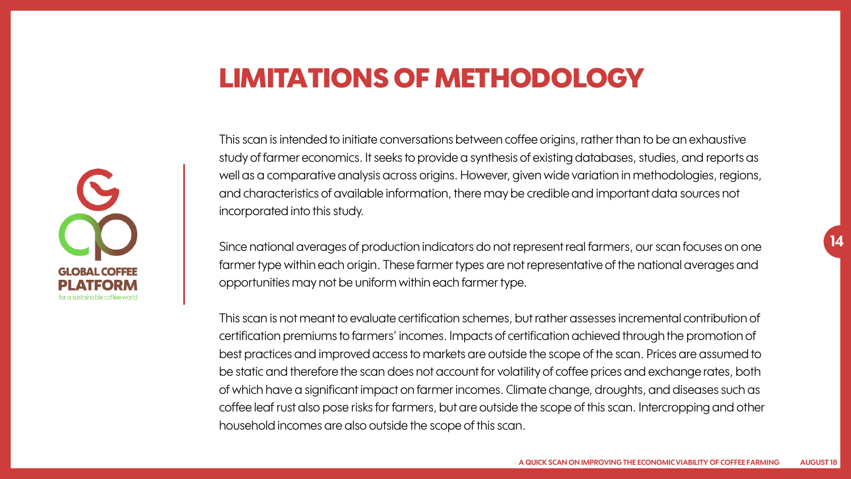#### **LIMITATIONS OF METHODOLOGY**



This scan is intended to initiate conversations between coffee origins, rather than to be an exhaustive study of farmer economics. It seeks to provide a synthesis of existing databases, studies, and reports as well as a comparative analysis across origins. However, given wide variation in methodologies, regions, and characteristics of available information, there may be credible and important data sources not incorporated into this study.

Since national averages of production indicators do not represent real farmers, our scan focuses on one farmer type within each origin. These farmer types are not representative of the national averages and opportunities may not be uniform within each farmer type.

This scan is not meant to evaluate certification schemes, but rather assesses incremental contribution of certification premiums to farmers' incomes. Impacts of certification achieved through the promotion of best practices and improved access to markets are outside the scope of the scan. Prices are assumed to be static and therefore the scan does not account for volatility of coffee prices and exchange rates, both of which have a significant impact on farmer incomes. Climate change, droughts, and diseases such as coffee leaf rust also pose risks for farmers, but are outside the scope of this scan. Intercropping and other household incomes are also outside the scope of this scan.